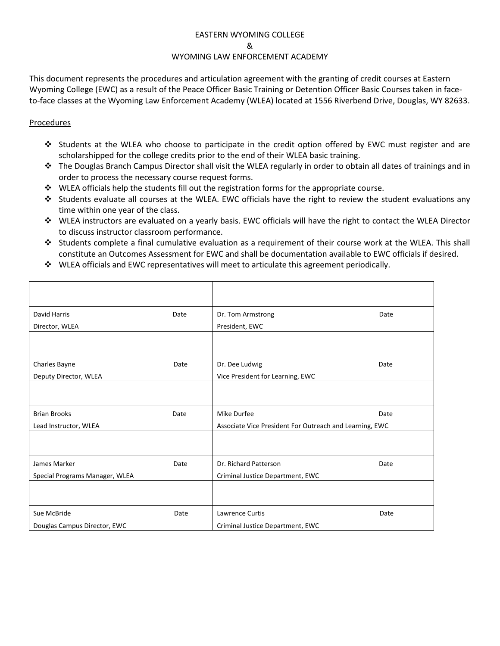#### EASTERN WYOMING COLLEGE

&

#### WYOMING LAW ENFORCEMENT ACADEMY

This document represents the procedures and articulation agreement with the granting of credit courses at Eastern Wyoming College (EWC) as a result of the Peace Officer Basic Training or Detention Officer Basic Courses taken in faceto-face classes at the Wyoming Law Enforcement Academy (WLEA) located at 1556 Riverbend Drive, Douglas, WY 82633.

# Procedures

- Students at the WLEA who choose to participate in the credit option offered by EWC must register and are scholarshipped for the college credits prior to the end of their WLEA basic training.
- $\cdot \cdot$  The Douglas Branch Campus Director shall visit the WLEA regularly in order to obtain all dates of trainings and in order to process the necessary course request forms.
- $\cdot \cdot$  WLEA officials help the students fill out the registration forms for the appropriate course.
- Students evaluate all courses at the WLEA. EWC officials have the right to review the student evaluations any time within one year of the class.
- WLEA instructors are evaluated on a yearly basis. EWC officials will have the right to contact the WLEA Director to discuss instructor classroom performance.
- Students complete a final cumulative evaluation as a requirement of their course work at the WLEA. This shall constitute an Outcomes Assessment for EWC and shall be documentation available to EWC officials if desired.
- WLEA officials and EWC representatives will meet to articulate this agreement periodically.

| David Harris                   | Date | Dr. Tom Armstrong                                       | Date |
|--------------------------------|------|---------------------------------------------------------|------|
| Director, WLEA                 |      | President, EWC                                          |      |
|                                |      |                                                         |      |
| Charles Bayne                  | Date | Dr. Dee Ludwig                                          | Date |
| Deputy Director, WLEA          |      | Vice President for Learning, EWC                        |      |
|                                |      |                                                         |      |
| <b>Brian Brooks</b>            | Date | Mike Durfee                                             | Date |
| Lead Instructor, WLEA          |      | Associate Vice President For Outreach and Learning, EWC |      |
|                                |      |                                                         |      |
| James Marker                   | Date | Dr. Richard Patterson                                   | Date |
| Special Programs Manager, WLEA |      | Criminal Justice Department, EWC                        |      |
|                                |      |                                                         |      |
| Sue McBride                    | Date | <b>Lawrence Curtis</b>                                  | Date |
| Douglas Campus Director, EWC   |      | Criminal Justice Department, EWC                        |      |